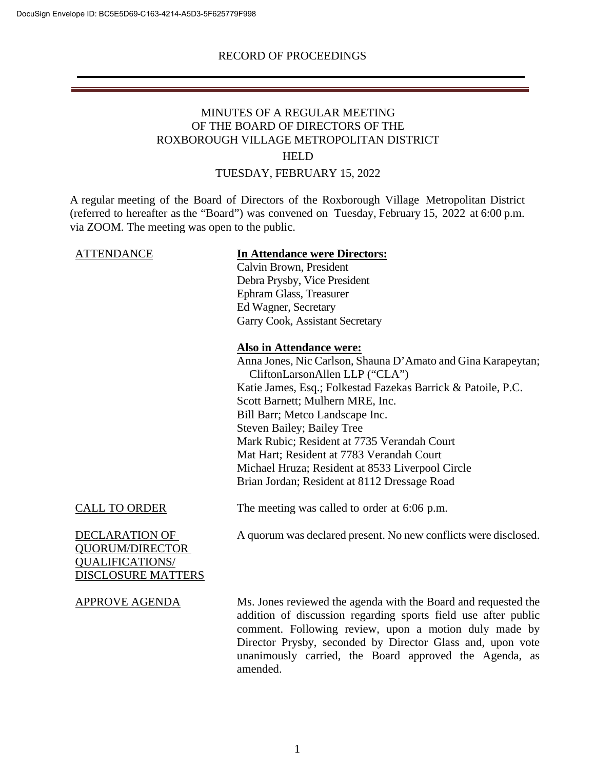# MINUTES OF A REGULAR MEETING OF THE BOARD OF DIRECTORS OF THE ROXBOROUGH VILLAGE METROPOLITAN DISTRICT

### HELD

## TUESDAY, FEBRUARY 15, 2022

A regular meeting of the Board of Directors of the Roxborough Village Metropolitan District (referred to hereafter as the "Board") was convened on Tuesday, February 15, 2022 at 6:00 p.m. via ZOOM. The meeting was open to the public.

# ATTENDANCE **In Attendance were Directors:**

Calvin Brown, President Debra Prysby, Vice President Ephram Glass, Treasurer Ed Wagner, Secretary Garry Cook, Assistant Secretary

### **Also in Attendance were:**

Anna Jones, Nic Carlson, Shauna D'Amato and Gina Karapeytan; CliftonLarsonAllen LLP ("CLA") Katie James, Esq.; Folkestad Fazekas Barrick & Patoile, P.C. Scott Barnett; Mulhern MRE, Inc. Bill Barr; Metco Landscape Inc. Steven Bailey; Bailey Tree Mark Rubic; Resident at 7735 Verandah Court Mat Hart; Resident at 7783 Verandah Court Michael Hruza; Resident at 8533 Liverpool Circle Brian Jordan; Resident at 8112 Dressage Road

### CALL TO ORDER The meeting was called to order at  $6:06$  p.m.

DECLARATION OF QUORUM/DIRECTOR QUALIFICATIONS/ DISCLOSURE MATTERS A quorum was declared present. No new conflicts were disclosed.

APPROVE AGENDA Ms. Jones reviewed the agenda with the Board and requested the addition of discussion regarding sports field use after public comment. Following review, upon a motion duly made by Director Prysby, seconded by Director Glass and, upon vote unanimously carried, the Board approved the Agenda, as amended.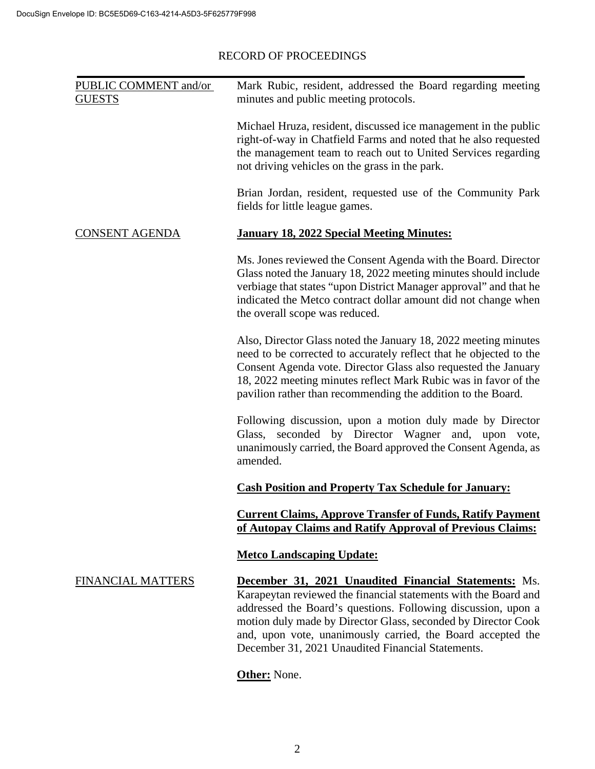| Mark Rubic, resident, addressed the Board regarding meeting<br>minutes and public meeting protocols.                                                                                                                                                                                                                                                                                  |
|---------------------------------------------------------------------------------------------------------------------------------------------------------------------------------------------------------------------------------------------------------------------------------------------------------------------------------------------------------------------------------------|
| Michael Hruza, resident, discussed ice management in the public<br>right-of-way in Chatfield Farms and noted that he also requested<br>the management team to reach out to United Services regarding<br>not driving vehicles on the grass in the park.                                                                                                                                |
| Brian Jordan, resident, requested use of the Community Park<br>fields for little league games.                                                                                                                                                                                                                                                                                        |
| <b>January 18, 2022 Special Meeting Minutes:</b>                                                                                                                                                                                                                                                                                                                                      |
| Ms. Jones reviewed the Consent Agenda with the Board. Director<br>Glass noted the January 18, 2022 meeting minutes should include<br>verbiage that states "upon District Manager approval" and that he<br>indicated the Metco contract dollar amount did not change when<br>the overall scope was reduced.                                                                            |
| Also, Director Glass noted the January 18, 2022 meeting minutes<br>need to be corrected to accurately reflect that he objected to the<br>Consent Agenda vote. Director Glass also requested the January<br>18, 2022 meeting minutes reflect Mark Rubic was in favor of the<br>pavilion rather than recommending the addition to the Board.                                            |
| Following discussion, upon a motion duly made by Director<br>Glass, seconded by Director Wagner and, upon vote,<br>unanimously carried, the Board approved the Consent Agenda, as<br>amended.                                                                                                                                                                                         |
| <b>Cash Position and Property Tax Schedule for January:</b>                                                                                                                                                                                                                                                                                                                           |
| <b>Current Claims, Approve Transfer of Funds, Ratify Payment</b><br>of Autopay Claims and Ratify Approval of Previous Claims:                                                                                                                                                                                                                                                         |
| <b>Metco Landscaping Update:</b>                                                                                                                                                                                                                                                                                                                                                      |
| <b>December 31, 2021 Unaudited Financial Statements:</b> Ms.<br>Karapeytan reviewed the financial statements with the Board and<br>addressed the Board's questions. Following discussion, upon a<br>motion duly made by Director Glass, seconded by Director Cook<br>and, upon vote, unanimously carried, the Board accepted the<br>December 31, 2021 Unaudited Financial Statements. |
|                                                                                                                                                                                                                                                                                                                                                                                       |

# **Other:** None.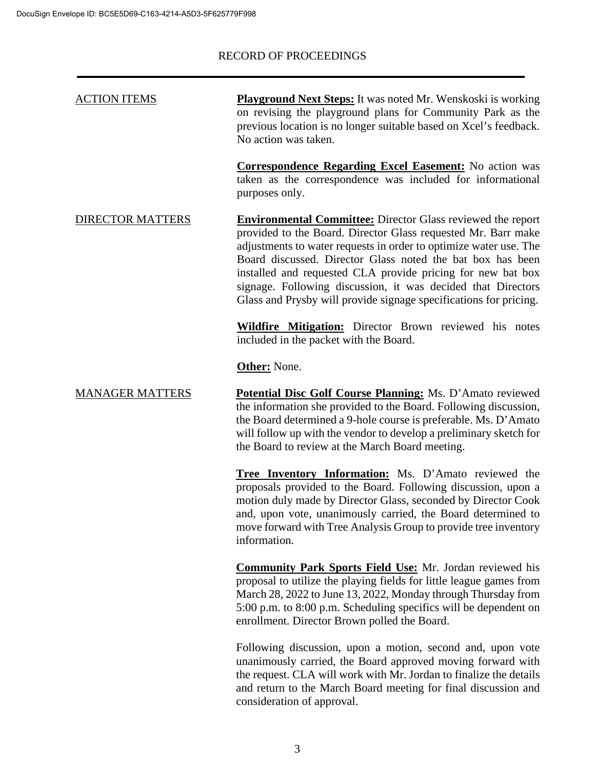| <b>ACTION ITEMS</b> | <b>Playground Next Steps:</b> It was noted Mr. Wenskoski is working |
|---------------------|---------------------------------------------------------------------|
|                     | on revising the playground plans for Community Park as the          |
|                     | previous location is no longer suitable based on Xcel's feedback.   |
|                     | No action was taken.                                                |

**Correspondence Regarding Excel Easement:** No action was taken as the correspondence was included for informational purposes only.

DIRECTOR MATTERS **Environmental Committee:** Director Glass reviewed the report provided to the Board. Director Glass requested Mr. Barr make adjustments to water requests in order to optimize water use. The Board discussed. Director Glass noted the bat box has been installed and requested CLA provide pricing for new bat box signage. Following discussion, it was decided that Directors Glass and Prysby will provide signage specifications for pricing.

> **Wildfire Mitigation:** Director Brown reviewed his notes included in the packet with the Board.

**Other:** None.

MANAGER MATTERS **Potential Disc Golf Course Planning:** Ms. D'Amato reviewed the information she provided to the Board. Following discussion, the Board determined a 9-hole course is preferable. Ms. D'Amato will follow up with the vendor to develop a preliminary sketch for the Board to review at the March Board meeting.

> **Tree Inventory Information:** Ms. D'Amato reviewed the proposals provided to the Board. Following discussion, upon a motion duly made by Director Glass, seconded by Director Cook and, upon vote, unanimously carried, the Board determined to move forward with Tree Analysis Group to provide tree inventory information.

> **Community Park Sports Field Use:** Mr. Jordan reviewed his proposal to utilize the playing fields for little league games from March 28, 2022 to June 13, 2022, Monday through Thursday from 5:00 p.m. to 8:00 p.m. Scheduling specifics will be dependent on enrollment. Director Brown polled the Board.

> Following discussion, upon a motion, second and, upon vote unanimously carried, the Board approved moving forward with the request. CLA will work with Mr. Jordan to finalize the details and return to the March Board meeting for final discussion and consideration of approval.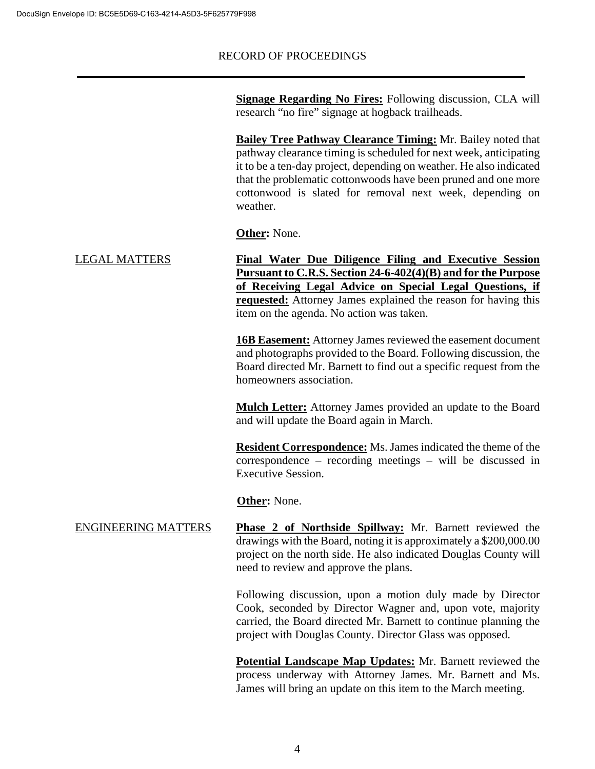**Signage Regarding No Fires:** Following discussion, CLA will research "no fire" signage at hogback trailheads.

**Bailey Tree Pathway Clearance Timing:** Mr. Bailey noted that pathway clearance timing is scheduled for next week, anticipating it to be a ten-day project, depending on weather. He also indicated that the problematic cottonwoods have been pruned and one more cottonwood is slated for removal next week, depending on weather.

**Other:** None.

LEGAL MATTERS **Final Water Due Diligence Filing and Executive Session Pursuant to C.R.S. Section 24-6-402(4)(B) and for the Purpose of Receiving Legal Advice on Special Legal Questions, if requested:** Attorney James explained the reason for having this item on the agenda. No action was taken.

> **16B Easement:** Attorney James reviewed the easement document and photographs provided to the Board. Following discussion, the Board directed Mr. Barnett to find out a specific request from the homeowners association.

> **Mulch Letter:** Attorney James provided an update to the Board and will update the Board again in March.

> **Resident Correspondence:** Ms. James indicated the theme of the correspondence – recording meetings – will be discussed in Executive Session.

**Other:** None.

ENGINEERING MATTERS **Phase 2 of Northside Spillway:** Mr. Barnett reviewed the drawings with the Board, noting it is approximately a \$200,000.00 project on the north side. He also indicated Douglas County will need to review and approve the plans.

> Following discussion, upon a motion duly made by Director Cook, seconded by Director Wagner and, upon vote, majority carried, the Board directed Mr. Barnett to continue planning the project with Douglas County. Director Glass was opposed.

> **Potential Landscape Map Updates:** Mr. Barnett reviewed the process underway with Attorney James. Mr. Barnett and Ms. James will bring an update on this item to the March meeting.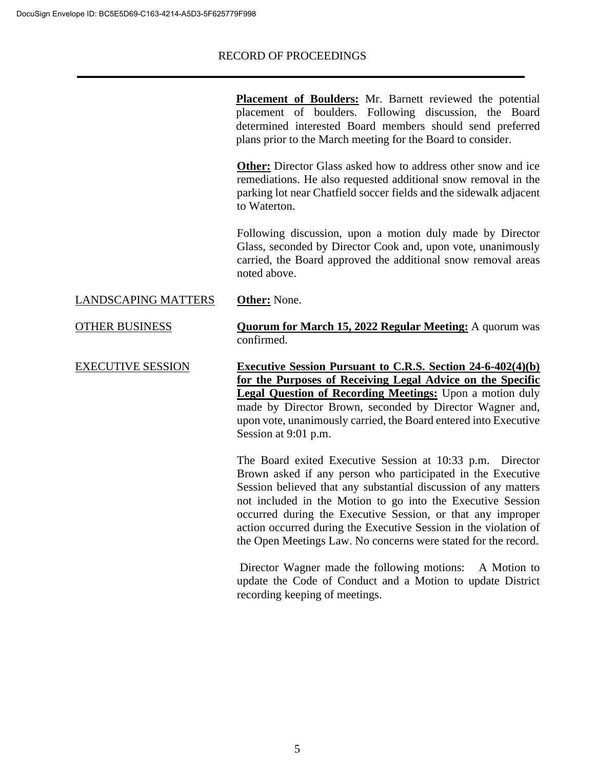|                            | <b>Placement of Boulders:</b> Mr. Barnett reviewed the potential<br>placement of boulders. Following discussion, the Board<br>determined interested Board members should send preferred<br>plans prior to the March meeting for the Board to consider.                                                                                                                                                                                                             |
|----------------------------|--------------------------------------------------------------------------------------------------------------------------------------------------------------------------------------------------------------------------------------------------------------------------------------------------------------------------------------------------------------------------------------------------------------------------------------------------------------------|
|                            | <b>Other:</b> Director Glass asked how to address other snow and ice<br>remediations. He also requested additional snow removal in the<br>parking lot near Chatfield soccer fields and the sidewalk adjacent<br>to Waterton.                                                                                                                                                                                                                                       |
|                            | Following discussion, upon a motion duly made by Director<br>Glass, seconded by Director Cook and, upon vote, unanimously<br>carried, the Board approved the additional snow removal areas<br>noted above.                                                                                                                                                                                                                                                         |
| <b>LANDSCAPING MATTERS</b> | <b>Other:</b> None.                                                                                                                                                                                                                                                                                                                                                                                                                                                |
| <b>OTHER BUSINESS</b>      | <b>Quorum for March 15, 2022 Regular Meeting:</b> A quorum was<br>confirmed.                                                                                                                                                                                                                                                                                                                                                                                       |
| <b>EXECUTIVE SESSION</b>   | <b>Executive Session Pursuant to C.R.S. Section 24-6-402(4)(b)</b><br>for the Purposes of Receiving Legal Advice on the Specific<br><b>Legal Question of Recording Meetings:</b> Upon a motion duly<br>made by Director Brown, seconded by Director Wagner and,<br>upon vote, unanimously carried, the Board entered into Executive<br>Session at 9:01 p.m.                                                                                                        |
|                            | The Board exited Executive Session at 10:33 p.m.<br>Director<br>Brown asked if any person who participated in the Executive<br>Session believed that any substantial discussion of any matters<br>not included in the Motion to go into the Executive Session<br>occurred during the Executive Session, or that any improper<br>action occurred during the Executive Session in the violation of<br>the Open Meetings Law. No concerns were stated for the record. |
|                            | Director Wagner made the following motions:<br>A Motion to<br>update the Code of Conduct and a Motion to update District<br>recording keeping of meetings.                                                                                                                                                                                                                                                                                                         |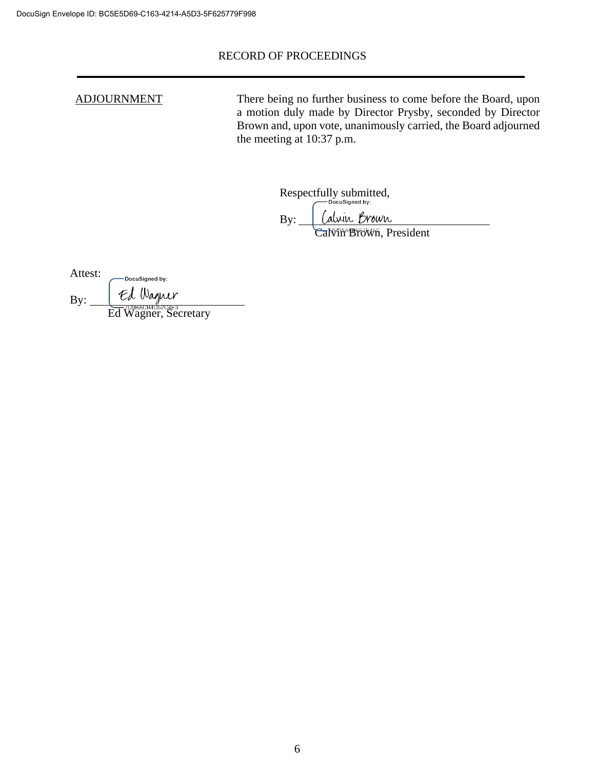ADJOURNMENT There being no further business to come before the Board, upon a motion duly made by Director Prysby, seconded by Director Brown and, upon vote, unanimously carried, the Board adjourned the meeting at 10:37 p.m.

Respectfully submitted,

alvin Brown By:

Calvin Brown, President

| Attest: | DocuSigned by:       |
|---------|----------------------|
| By:     | Ed Wagner            |
|         | Ed Wagner, Secretary |

6